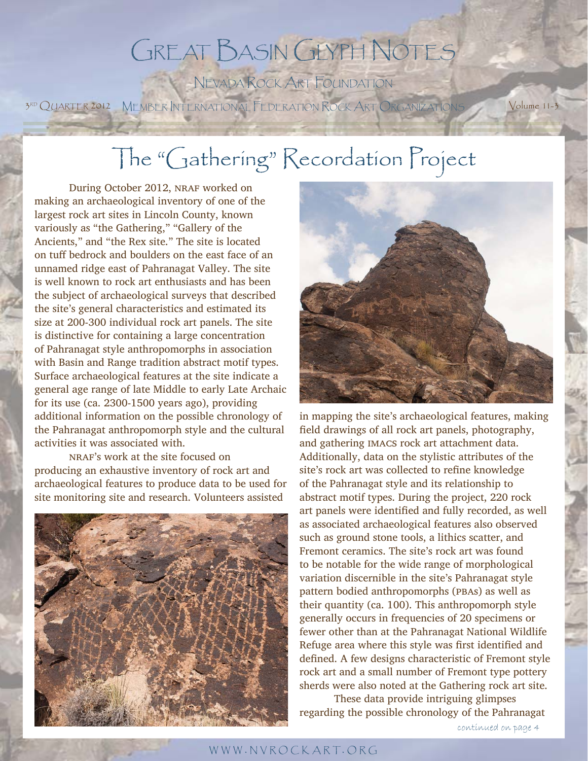## GREAT BASIN GLYPH NOTES NEVADA ROCK ART FOUNDATION

3RD QUARTER 2012 MEMBER INTERNATIONAL FEDERATION ROCK ART ORGANIZATIONS Volume 11-3

# The "Gathering" Recordation Project

During October 2012, NRAF worked on making an archaeological inventory of one of the largest rock art sites in Lincoln County, known variously as "the Gathering," "Gallery of the Ancients," and "the Rex site." The site is located on tuff bedrock and boulders on the east face of an unnamed ridge east of Pahranagat Valley. The site is well known to rock art enthusiasts and has been the subject of archaeological surveys that described the site's general characteristics and estimated its size at 200-300 individual rock art panels. The site is distinctive for containing a large concentration of Pahranagat style anthropomorphs in association with Basin and Range tradition abstract motif types. Surface archaeological features at the site indicate a general age range of late Middle to early Late Archaic for its use (ca. 2300-1500 years ago), providing additional information on the possible chronology of the Pahranagat anthropomorph style and the cultural activities it was associated with.

nraf's work at the site focused on producing an exhaustive inventory of rock art and archaeological features to produce data to be used for site monitoring site and research. Volunteers assisted





in mapping the site's archaeological features, making field drawings of all rock art panels, photography, and gathering imacs rock art attachment data. Additionally, data on the stylistic attributes of the site's rock art was collected to refine knowledge of the Pahranagat style and its relationship to abstract motif types. During the project, 220 rock art panels were identified and fully recorded, as well as associated archaeological features also observed such as ground stone tools, a lithics scatter, and Fremont ceramics. The site's rock art was found to be notable for the wide range of morphological variation discernible in the site's Pahranagat style pattern bodied anthropomorphs (PBAs) as well as their quantity (ca. 100). This anthropomorph style generally occurs in frequencies of 20 specimens or fewer other than at the Pahranagat National Wildlife Refuge area where this style was first identified and defined. A few designs characteristic of Fremont style rock art and a small number of Fremont type pottery sherds were also noted at the Gathering rock art site.

 These data provide intriguing glimpses regarding the possible chronology of the Pahranagat

continued on page 4

#### WWW . NVROCKART. ORG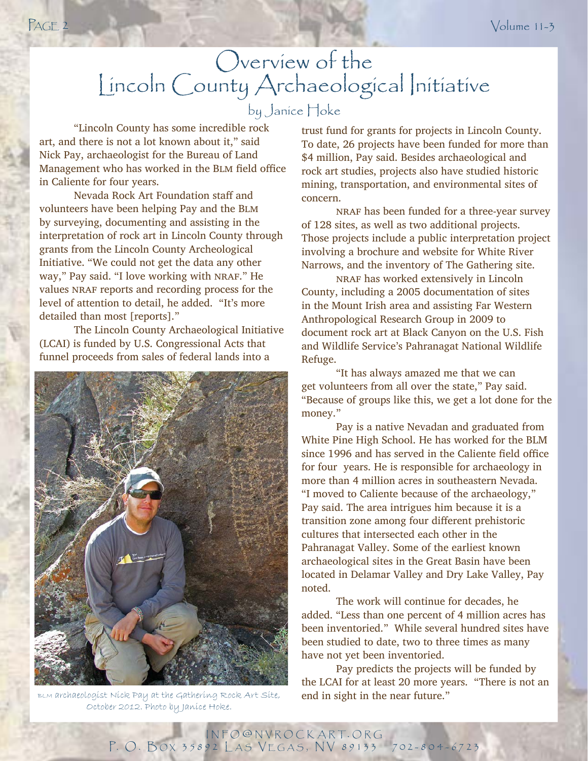## Overview of the Lincoln County Archaeological Initiative by Janice Hoke

 "Lincoln County has some incredible rock art, and there is not a lot known about it," said Nick Pay, archaeologist for the Bureau of Land Management who has worked in the BLM field office in Caliente for four years.

 Nevada Rock Art Foundation staff and volunteers have been helping Pay and the Blm by surveying, documenting and assisting in the interpretation of rock art in Lincoln County through grants from the Lincoln County Archeological Initiative. "We could not get the data any other way," Pay said. "I love working with NRAF." He values NRAF reports and recording process for the level of attention to detail, he added. "It's more detailed than most [reports]."

 The Lincoln County Archaeological Initiative (LCAI) is funded by U.S. Congressional Acts that funnel proceeds from sales of federal lands into a



BLM archaeologist Nick Pay at the Gathering Rock Art Site, end in sight in the near future." October 2012. Photo by Janice Hoke.

trust fund for grants for projects in Lincoln County. To date, 26 projects have been funded for more than \$4 million, Pay said. Besides archaeological and rock art studies, projects also have studied historic mining, transportation, and environmental sites of concern.

 nraf has been funded for a three-year survey of 128 sites, as well as two additional projects. Those projects include a public interpretation project involving a brochure and website for White River Narrows, and the inventory of The Gathering site.

 nraf has worked extensively in Lincoln County, including a 2005 documentation of sites in the Mount Irish area and assisting Far Western Anthropological Research Group in 2009 to document rock art at Black Canyon on the U.S. Fish and Wildlife Service's Pahranagat National Wildlife Refuge.

 "It has always amazed me that we can get volunteers from all over the state," Pay said. "Because of groups like this, we get a lot done for the money."

 Pay is a native Nevadan and graduated from White Pine High School. He has worked for the BLM since 1996 and has served in the Caliente field office for four years. He is responsible for archaeology in more than 4 million acres in southeastern Nevada. "I moved to Caliente because of the archaeology," Pay said. The area intrigues him because it is a transition zone among four different prehistoric cultures that intersected each other in the Pahranagat Valley. Some of the earliest known archaeological sites in the Great Basin have been located in Delamar Valley and Dry Lake Valley, Pay noted.

 The work will continue for decades, he added. "Less than one percent of 4 million acres has been inventoried." While several hundred sites have been studied to date, two to three times as many have not yet been inventoried.

 Pay predicts the projects will be funded by the LCAI for at least 20 more years. "There is not an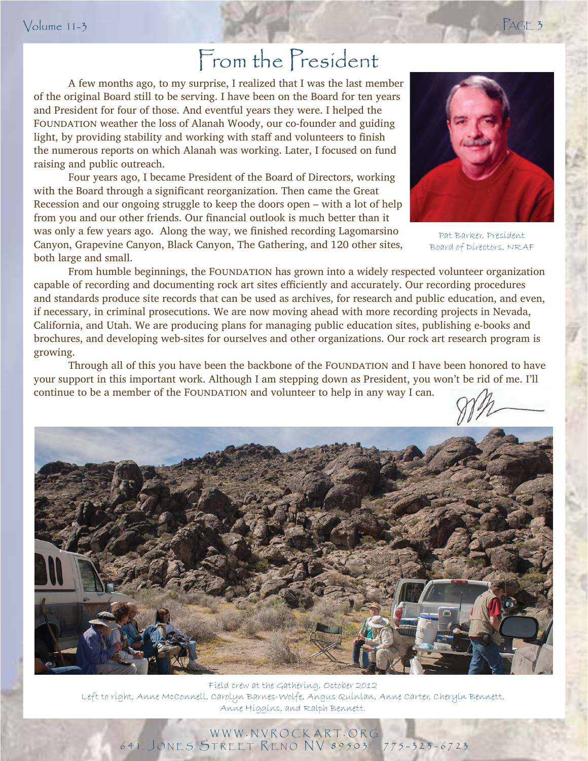## From the President

 A few months ago, to my surprise, I realized that I was the last member of the original Board still to be serving. I have been on the Board for ten years and President for four of those. And eventful years they were. I helped the FOUNDATION weather the loss of Alanah Woody, our co-founder and guiding light, by providing stability and working with staff and volunteers to finish the numerous reports on which Alanah was working. Later, I focused on fund raising and public outreach.

 Four years ago, I became President of the Board of Directors, working with the Board through a significant reorganization. Then came the Great Recession and our ongoing struggle to keep the doors open – with a lot of help from you and our other friends. Our financial outlook is much better than it was only a few years ago. Along the way, we finished recording Lagomarsino Canyon, Grapevine Canyon, Black Canyon, The Gathering, and 120 other sites, both large and small.



Pat Barker, President Board of Directors, NRAF

From humble beginnings, the FOUNDATION has grown into a widely respected volunteer organization capable of recording and documenting rock art sites efficiently and accurately. Our recording procedures and standards produce site records that can be used as archives, for research and public education, and even, if necessary, in criminal prosecutions. We are now moving ahead with more recording projects in Nevada, California, and Utah. We are producing plans for managing public education sites, publishing e-books and brochures, and developing web-sites for ourselves and other organizations. Our rock art research program is growing.

your support in this important work. Although I am stepping down as President, you won't be rid of me. I'll Through all of this you have been the backbone of the FOUNDATION and I have been honored to have continue to be a member of the FOUNDATION and volunteer to help in any way I can.



Field crew at the Gathering, October 2012 Left to right, Anne McConnell, Carolyn Barnes-Wolfe, Angus Quinlan, Anne Carter, Cheryln Bennett, Anne Higgins, and Ralph Bennett.

WWW . NVROCKART. ORG 641 J ONES STREET R ENO NV 89503 775-323-6723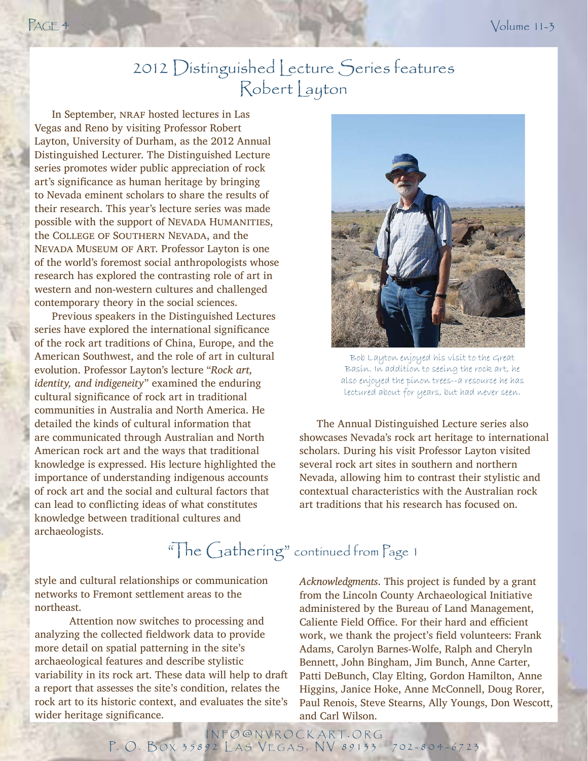### 2012 Distinguished Lecture Series features Robert Layton

In September, NRAF hosted lectures in Las Vegas and Reno by visiting Professor Robert Layton, University of Durham, as the 2012 Annual Distinguished Lecturer. The Distinguished Lecture series promotes wider public appreciation of rock art's significance as human heritage by bringing to Nevada eminent scholars to share the results of their research. This year's lecture series was made possible with the support of NEVADA HUMANITIES, the COLLEGE OF SOUTHERN NEVADA, and the Nevada Museum of Art. Professor Layton is one of the world's foremost social anthropologists whose research has explored the contrasting role of art in western and non-western cultures and challenged contemporary theory in the social sciences.

Previous speakers in the Distinguished Lectures series have explored the international significance of the rock art traditions of China, Europe, and the American Southwest, and the role of art in cultural evolution. Professor Layton's lecture "*Rock art, identity, and indigeneity*" examined the enduring cultural significance of rock art in traditional communities in Australia and North America. He detailed the kinds of cultural information that are communicated through Australian and North American rock art and the ways that traditional knowledge is expressed. His lecture highlighted the importance of understanding indigenous accounts of rock art and the social and cultural factors that can lead to conflicting ideas of what constitutes knowledge between traditional cultures and archaeologists.



Bob Layton enjoyed his visit to the Great Basin. In addition to seeing the rock art, he also enjoyed the pinon trees--a resource he has lectured about for years, but had never seen.

The Annual Distinguished Lecture series also showcases Nevada's rock art heritage to international scholars. During his visit Professor Layton visited several rock art sites in southern and northern Nevada, allowing him to contrast their stylistic and contextual characteristics with the Australian rock art traditions that his research has focused on.

## "The Gathering" continued from Page 1

style and cultural relationships or communication networks to Fremont settlement areas to the northeast.

 Attention now switches to processing and analyzing the collected fieldwork data to provide more detail on spatial patterning in the site's archaeological features and describe stylistic variability in its rock art. These data will help to draft a report that assesses the site's condition, relates the rock art to its historic context, and evaluates the site's wider heritage significance.

*Acknowledgments*. This project is funded by a grant from the Lincoln County Archaeological Initiative administered by the Bureau of Land Management, Caliente Field Office. For their hard and efficient work, we thank the project's field volunteers: Frank Adams, Carolyn Barnes-Wolfe, Ralph and Cheryln Bennett, John Bingham, Jim Bunch, Anne Carter, Patti DeBunch, Clay Elting, Gordon Hamilton, Anne Higgins, Janice Hoke, Anne McConnell, Doug Rorer, Paul Renois, Steve Stearns, Ally Youngs, Don Wescott, and Carl Wilson.

INFO @ NVROCKART. ORG P. O. BOX 35892 LAS VEGAS, NV 89133 702-804-6723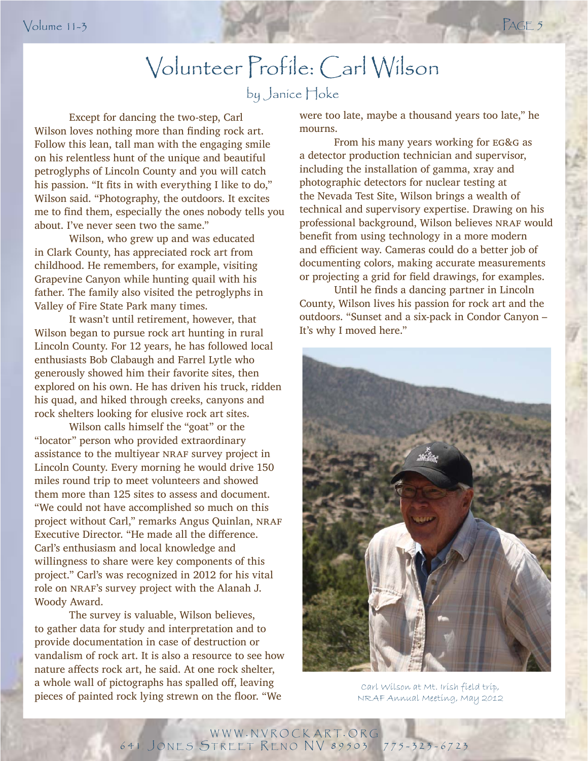# Volunteer Profile: Carl Wilson

### by Janice Hoke

 Except for dancing the two-step, Carl Wilson loves nothing more than finding rock art. Follow this lean, tall man with the engaging smile on his relentless hunt of the unique and beautiful petroglyphs of Lincoln County and you will catch his passion. "It fits in with everything I like to do," Wilson said. "Photography, the outdoors. It excites me to find them, especially the ones nobody tells you about. I've never seen two the same."

 Wilson, who grew up and was educated in Clark County, has appreciated rock art from childhood. He remembers, for example, visiting Grapevine Canyon while hunting quail with his father. The family also visited the petroglyphs in Valley of Fire State Park many times.

generously showed him their favorite sites, then<br>explored on his own. He has driven his truck, ridden It wasn't until retirement, however, that Wilson began to pursue rock art hunting in rural Lincoln County. For 12 years, he has followed local enthusiasts Bob Clabaugh and Farrel Lytle who generously showed him their favorite sites, then his quad, and hiked through creeks, canyons and rock shelters looking for elusive rock art sites.

 Wilson calls himself the "goat" or the "locator" person who provided extraordinary assistance to the multiyear NRAF survey project in Lincoln County. Every morning he would drive 150 miles round trip to meet volunteers and showed them more than 125 sites to assess and document. "We could not have accomplished so much on this project without Carl," remarks Angus Quinlan, NRAF Executive Director. "He made all the difference. Carl's enthusiasm and local knowledge and willingness to share were key components of this project." Carl's was recognized in 2012 for his vital role on NRAF's survey project with the Alanah J. Woody Award.

 The survey is valuable, Wilson believes, to gather data for study and interpretation and to provide documentation in case of destruction or vandalism of rock art. It is also a resource to see how nature affects rock art, he said. At one rock shelter, a whole wall of pictographs has spalled off, leaving **a whole wall of pictographs has spalled oil, leaving**<br> **pieces of painted rock lying strewn on the floor. "We** NRAF Annual Meeting. May 2012

were too late, maybe a thousand years too late," he mourns.

From his many years working for EG&G as a detector production technician and supervisor, including the installation of gamma, xray and photographic detectors for nuclear testing at the Nevada Test Site, Wilson brings a wealth of technical and supervisory expertise. Drawing on his professional background, Wilson believes NRAF would benefit from using technology in a more modern and efficient way. Cameras could do a better job of documenting colors, making accurate measurements or projecting a grid for field drawings, for examples.

Until he finds a dancing partner in Lincoln County, Wilson lives his passion for rock art and the outdoors. "Sunset and a six-pack in Condor Canyon – It's why I moved here."



NRAF Annual Meeting, May 2012

WWW . NVROCKART. ORG 641 J ONES STREET R ENO NV 89503 775-323-6723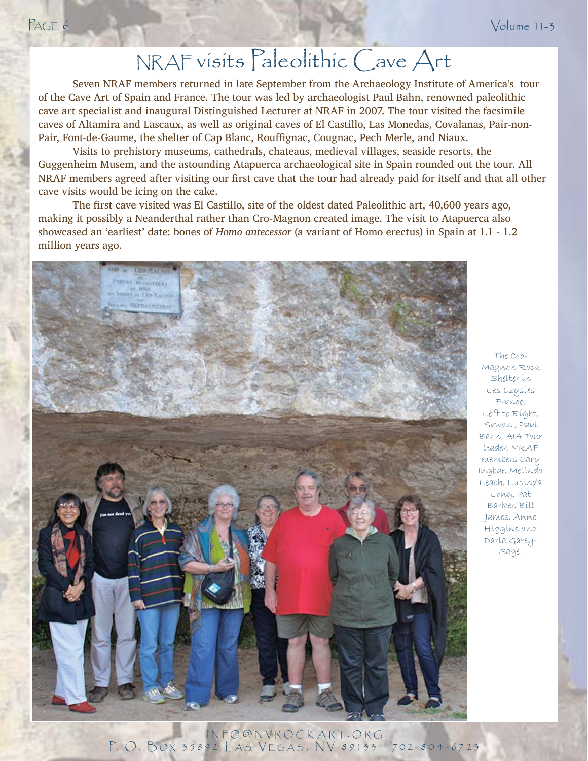## NRAF visits Paleolithic Cave Art

Seven NRAF members returned in late September from the Archaeology Institute of America's tour of the Cave Art of Spain and France. The tour was led by archaeologist Paul Bahn, renowned paleolithic cave art specialist and inaugural Distinguished Lecturer at NRAF in 2007. The tour visited the facsimile caves of Altamira and Lascaux, as well as original caves of El Castillo, Las Monedas, Covalanas, Pair-non-Pair, Font-de-Gaume, the shelter of Cap Blanc, Rouffignac, Cougnac, Pech Merle, and Niaux.

 Visits to prehistory museums, cathedrals, chateaus, medieval villages, seaside resorts, the Guggenheim Musem, and the astounding Atapuerca archaeological site in Spain rounded out the tour. All NRAF members agreed after visiting our first cave that the tour had already paid for itself and that all other cave visits would be icing on the cake.

The first cave visited was El Castillo, site of the oldest dated Paleolithic art, 40,600 years ago, making it possibly a Neanderthal rather than Cro-Magnon created image. The visit to Atapuerca also showcased an 'earliest' date: bones of *Homo antecessor* (a variant of Homo erectus) in Spain at 1.1 - 1.2 million years ago.



The Cro-Magnon Rock Shelter in Les Ezysies France. Left to Right, Sawan , Paul Bahn, AIA Tour leader, NRAF members Cary Ingbar, Melinda Leach, Lucinda Long, Pat Barker, Bill James, Anne Higgins and Darla Garey-Sage.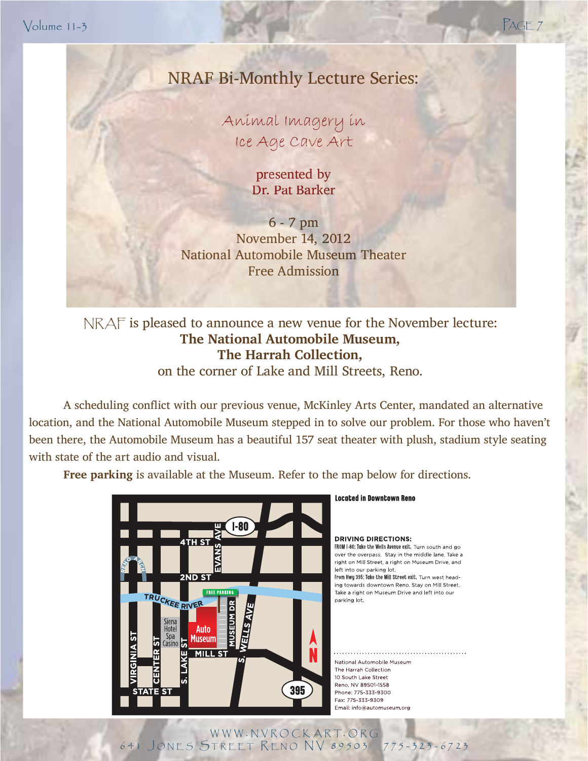Volume 11-3 PAGE 7

### NRAF Bi-Monthly Lecture Series: NRAF Bi-Monthly Lecture

Animal Imagery in Animal Imagery in Ice Age Cave Art Ice Age Cave

> presented by presented Dr. Pat Barker Dr. Pat

6 - 7 pm 6 - 7 November 14, 2012 November 14, National Automobile Museum Theater National Automobile Museum Free Admission Free

NRAF is pleased to announce a new venue for the November lecture: **The National Automobile Museum, The Harrah Collection,**

 $\frac{1}{2}$ on the corner of Lake and Mill Streets, Reno.

A scheduling conflict with our previous venue, McKinley Arts Center, mandated an alternative location, and the National Automobile Museum stepped in to solve our problem. For those who haven't been there, the Automobile Museum has a beautiful 157 seat theater with plush, stadium style seating with state of the art audio and visual.

**Free parking** is available at the Museum. Refer to the map below for directions.



#### **Located in Downtown Reno**

**DRIVING DIRECTIONS:** FROM I-80: Take the Wells Avenue exit. Turn south and go over the overpass. Stay in the middle lane. Take a right on Mill Street, a right on Museum Drive, and left into our parking lot. From Hwy 395: Take the Mill Street exit. Turn west heading towards downtown Reno. Stay on Mill Street. Take a right on Museum Drive and left into our parking lot.

National Automobile Museum The Harrah Collection 10 South Lake Street Reno, NV 89501-1558 Phone: 775-333-9300 Fax: 775-333-9309 Email: info@automuseum.org